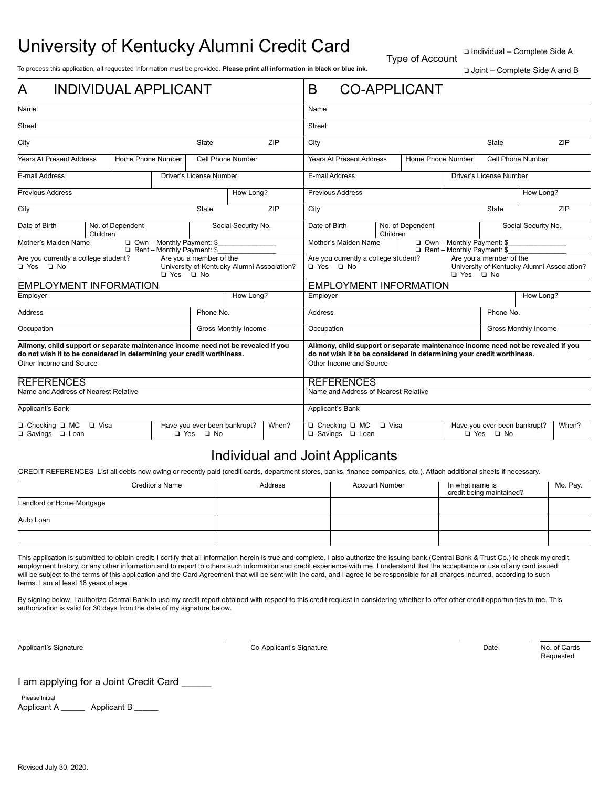## University of Kentucky Alumni Credit Card

Type of Account

❏ Individual – Complete Side A

To process this application, all requested information must be provided. Please print all information in black or blue ink.<br>□ Joint – Complete Side A and B

| <b>INDIVIDUAL APPLICANT</b><br>A                                                                                                                            |                              |  |                             |                                                                                                                                                             | <b>CO-APPLICANT</b><br>B                                                                                                                  |                                                                                               |      |                                                     |              |                                |              |  |     |
|-------------------------------------------------------------------------------------------------------------------------------------------------------------|------------------------------|--|-----------------------------|-------------------------------------------------------------------------------------------------------------------------------------------------------------|-------------------------------------------------------------------------------------------------------------------------------------------|-----------------------------------------------------------------------------------------------|------|-----------------------------------------------------|--------------|--------------------------------|--------------|--|-----|
| Name                                                                                                                                                        |                              |  |                             |                                                                                                                                                             | Name                                                                                                                                      |                                                                                               |      |                                                     |              |                                |              |  |     |
| <b>Street</b>                                                                                                                                               |                              |  |                             |                                                                                                                                                             | <b>Street</b>                                                                                                                             |                                                                                               |      |                                                     |              |                                |              |  |     |
| City<br>State                                                                                                                                               |                              |  |                             |                                                                                                                                                             | ZIP<br>City                                                                                                                               |                                                                                               |      |                                                     | <b>State</b> |                                | ZIP          |  |     |
| <b>Years At Present Address</b><br>Home Phone Number                                                                                                        |                              |  |                             | <b>Cell Phone Number</b>                                                                                                                                    |                                                                                                                                           | <b>Years At Present Address</b><br>Home Phone Number                                          |      | Cell Phone Number                                   |              |                                |              |  |     |
| E-mail Address<br>Driver's License Number                                                                                                                   |                              |  |                             |                                                                                                                                                             |                                                                                                                                           | E-mail Address                                                                                |      |                                                     |              | <b>Driver's License Number</b> |              |  |     |
| <b>Previous Address</b>                                                                                                                                     |                              |  |                             | How Long?                                                                                                                                                   |                                                                                                                                           | <b>Previous Address</b>                                                                       |      |                                                     |              | How Long?                      |              |  |     |
| City                                                                                                                                                        |                              |  |                             | <b>State</b>                                                                                                                                                |                                                                                                                                           | ZIP                                                                                           | City |                                                     |              |                                | <b>State</b> |  | ZIP |
| Date of Birth                                                                                                                                               | No. of Dependent<br>Children |  |                             | Social Security No.                                                                                                                                         |                                                                                                                                           | Date of Birth                                                                                 |      | No. of Dependent<br>Children                        |              | Social Security No.            |              |  |     |
| Mother's Maiden Name<br>$\Box$ Own - Monthly Payment: \$<br>Rent - Monthly Payment: \$                                                                      |                              |  |                             |                                                                                                                                                             |                                                                                                                                           | Mother's Maiden Name<br>$\Box$ Own - Monthly Payment: \$<br>$\Box$ Rent - Monthly Payment: \$ |      |                                                     |              |                                |              |  |     |
| Are you a member of the<br>Are you currently a college student?<br>T Yes T No<br>University of Kentucky Alumni Association?<br>$\Box$ Yes<br>$\Box$ No      |                              |  |                             |                                                                                                                                                             | Are you a member of the<br>Are you currently a college student?<br>□ Yes □ No<br>University of Kentucky Alumni Association?<br>□ Yes □ No |                                                                                               |      |                                                     |              |                                |              |  |     |
| <b>EMPLOYMENT INFORMATION</b>                                                                                                                               |                              |  |                             |                                                                                                                                                             | <b>EMPLOYMENT INFORMATION</b>                                                                                                             |                                                                                               |      |                                                     |              |                                |              |  |     |
| Employer                                                                                                                                                    |                              |  | How Long?                   |                                                                                                                                                             | Employer                                                                                                                                  |                                                                                               |      |                                                     | How Long?    |                                |              |  |     |
| <b>Address</b>                                                                                                                                              |                              |  | Phone No.                   |                                                                                                                                                             |                                                                                                                                           | Address                                                                                       |      |                                                     |              | Phone No.                      |              |  |     |
| Occupation                                                                                                                                                  |                              |  | <b>Gross Monthly Income</b> |                                                                                                                                                             | Occupation                                                                                                                                |                                                                                               |      | <b>Gross Monthly Income</b>                         |              |                                |              |  |     |
| Alimony, child support or separate maintenance income need not be revealed if you<br>do not wish it to be considered in determining your credit worthiness. |                              |  |                             | Alimony, child support or separate maintenance income need not be revealed if you<br>do not wish it to be considered in determining your credit worthiness. |                                                                                                                                           |                                                                                               |      |                                                     |              |                                |              |  |     |
| Other Income and Source                                                                                                                                     |                              |  |                             | Other Income and Source                                                                                                                                     |                                                                                                                                           |                                                                                               |      |                                                     |              |                                |              |  |     |
| <b>REFERENCES</b>                                                                                                                                           |                              |  |                             |                                                                                                                                                             | <b>REFERENCES</b>                                                                                                                         |                                                                                               |      |                                                     |              |                                |              |  |     |
| Name and Address of Nearest Relative                                                                                                                        |                              |  |                             |                                                                                                                                                             | Name and Address of Nearest Relative                                                                                                      |                                                                                               |      |                                                     |              |                                |              |  |     |
| Applicant's Bank                                                                                                                                            |                              |  |                             |                                                                                                                                                             | Applicant's Bank                                                                                                                          |                                                                                               |      |                                                     |              |                                |              |  |     |
| □ Checking □ MC □ Visa<br>Have you ever been bankrupt?<br>□ Savings □ Loan<br>□ Yes □ No                                                                    |                              |  |                             | When?                                                                                                                                                       | □ Checking □ MC<br><b>D</b> Visa<br>□ Savings □ Loan                                                                                      |                                                                                               |      | Have you ever been bankrupt?<br>When?<br>□ Yes □ No |              |                                |              |  |     |

## Individual and Joint Applicants

CREDIT REFERENCES List all debts now owing or recently paid (credit cards, department stores, banks, finance companies, etc.). Attach additional sheets if necessary.

|                           | Creditor's Name | Address | <b>Account Number</b> | In what name is<br>credit being maintained? | Mo. Pay. |
|---------------------------|-----------------|---------|-----------------------|---------------------------------------------|----------|
| Landlord or Home Mortgage |                 |         |                       |                                             |          |
| Auto Loan                 |                 |         |                       |                                             |          |
|                           |                 |         |                       |                                             |          |

This application is submitted to obtain credit; I certify that all information herein is true and complete. I also authorize the issuing bank (Central Bank & Trust Co.) to check my credit, employment history, or any other information and to report to others such information and credit experience with me. I understand that the acceptance or use of any card issued will be subject to the terms of this application and the Card Agreement that will be sent with the card, and I agree to be responsible for all charges incurred, according to such terms. I am at least 18 years of age.

By signing below, I authorize Central Bank to use my credit report obtained with respect to this credit request in considering whether to offer other credit opportunities to me. This authorization is valid for 30 days from the date of my signature below.

Applicant's Signature Co-Applicant's Signature Date No. of Cards

Requested

I am applying for a Joint Credit Card \_\_\_\_\_

Applicant A \_\_\_\_\_\_\_\_ Applicant B \_\_\_\_\_ Please Initial